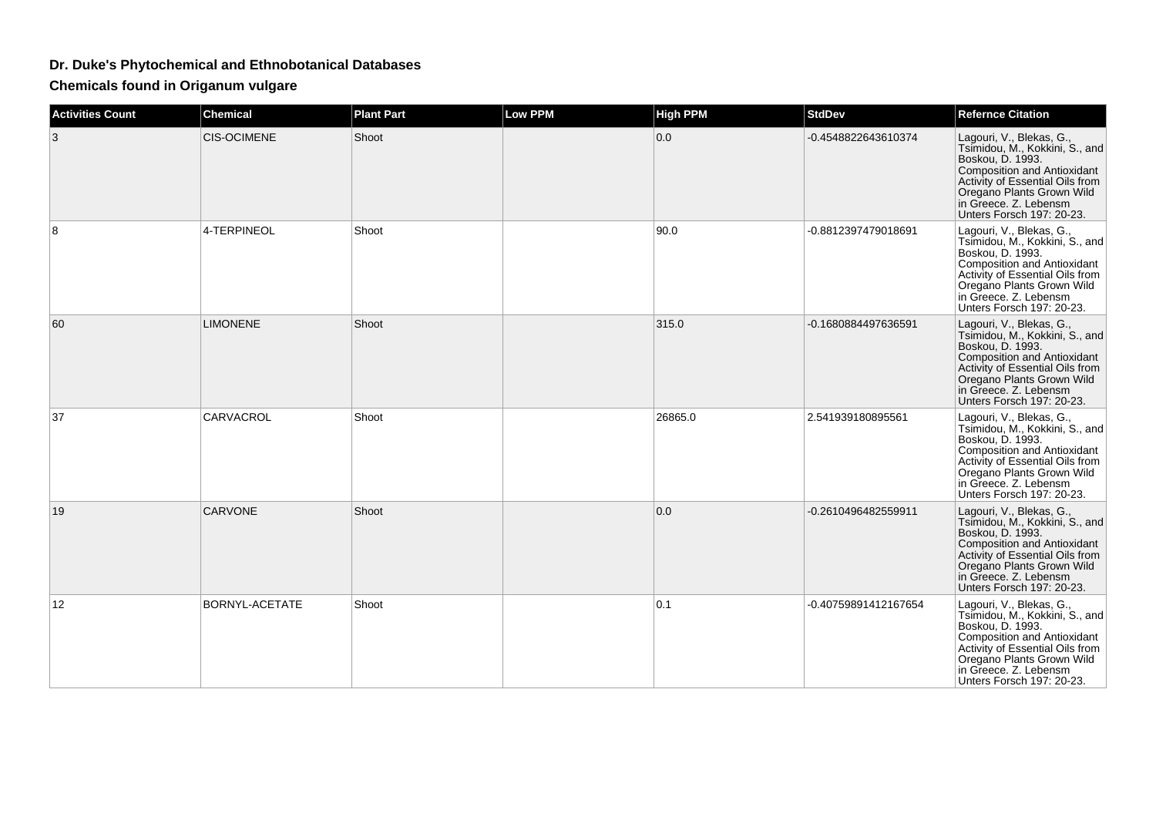## **Dr. Duke's Phytochemical and Ethnobotanical Databases**

**Chemicals found in Origanum vulgare**

| <b>Activities Count</b> | <b>Chemical</b>    | <b>Plant Part</b> | Low PPM | <b>High PPM</b> | <b>StdDev</b>        | <b>Refernce Citation</b>                                                                                                                                                                                                                          |
|-------------------------|--------------------|-------------------|---------|-----------------|----------------------|---------------------------------------------------------------------------------------------------------------------------------------------------------------------------------------------------------------------------------------------------|
| 3                       | <b>CIS-OCIMENE</b> | Shoot             |         | 0.0             | -0.4548822643610374  | Lagouri, V., Blekas, G.,<br>Tsimidou, M., Kokkini, S., and<br>Boskou, D. 1993.<br><b>Composition and Antioxidant</b><br><b>Activity of Essential Oils from</b><br>Oregano Plants Grown Wild<br>in Greece. Z. Lebensm<br>Unters Forsch 197: 20-23. |
| 8                       | 4-TERPINEOL        | Shoot             |         | 90.0            | -0.8812397479018691  | Lagouri, V., Blekas, G.,<br>Tsimidou, M., Kokkini, S., and<br>Boskou, D. 1993.<br><b>Composition and Antioxidant</b><br>Activity of Essential Oils from<br>Oregano Plants Grown Wild<br>in Greece. Z. Lebensm<br>Unters Forsch 197: 20-23.        |
| 60                      | <b>LIMONENE</b>    | Shoot             |         | 315.0           | -0.1680884497636591  | Lagouri, V., Blekas, G.,<br>Tsimidou, M., Kokkini, S., and<br>Boskou, D. 1993.<br><b>Composition and Antioxidant</b><br>Activity of Essential Oils from<br>Oregano Plants Grown Wild<br>in Greece. Z. Lebensm<br>Unters Forsch 197: 20-23.        |
| 37                      | CARVACROL          | Shoot             |         | 26865.0         | 2.541939180895561    | Lagouri, V., Blekas, G.,<br>Tsimidou, M., Kokkini, S., and<br>Boskou, D. 1993.<br><b>Composition and Antioxidant</b><br>Activity of Essential Oils from<br>Oregano Plants Grown Wild<br>in Greece. Z. Lebensm<br>Unters Forsch 197: 20-23.        |
| 19                      | <b>CARVONE</b>     | Shoot             |         | 0.0             | -0.2610496482559911  | Lagouri, V., Blekas, G.,<br>Tsimidou, M., Kokkini, S., and<br>Boskou, D. 1993.<br><b>Composition and Antioxidant</b><br>Activity of Essential Oils from<br>Oregano Plants Grown Wild<br>in Greece. Z. Lebensm<br>Unters Forsch 197: 20-23.        |
| $12 \overline{ }$       | BORNYL-ACETATE     | Shoot             |         | 0.1             | -0.40759891412167654 | Lagouri, V., Blekas, G.,<br>Tsimidou, M., Kokkini, S., and<br>Boskou, D. 1993.<br><b>Composition and Antioxidant</b><br>Activity of Essential Oils from<br>Oregano Plants Grown Wild<br>in Greece. Z. Lebensm<br>Unters Forsch 197: 20-23.        |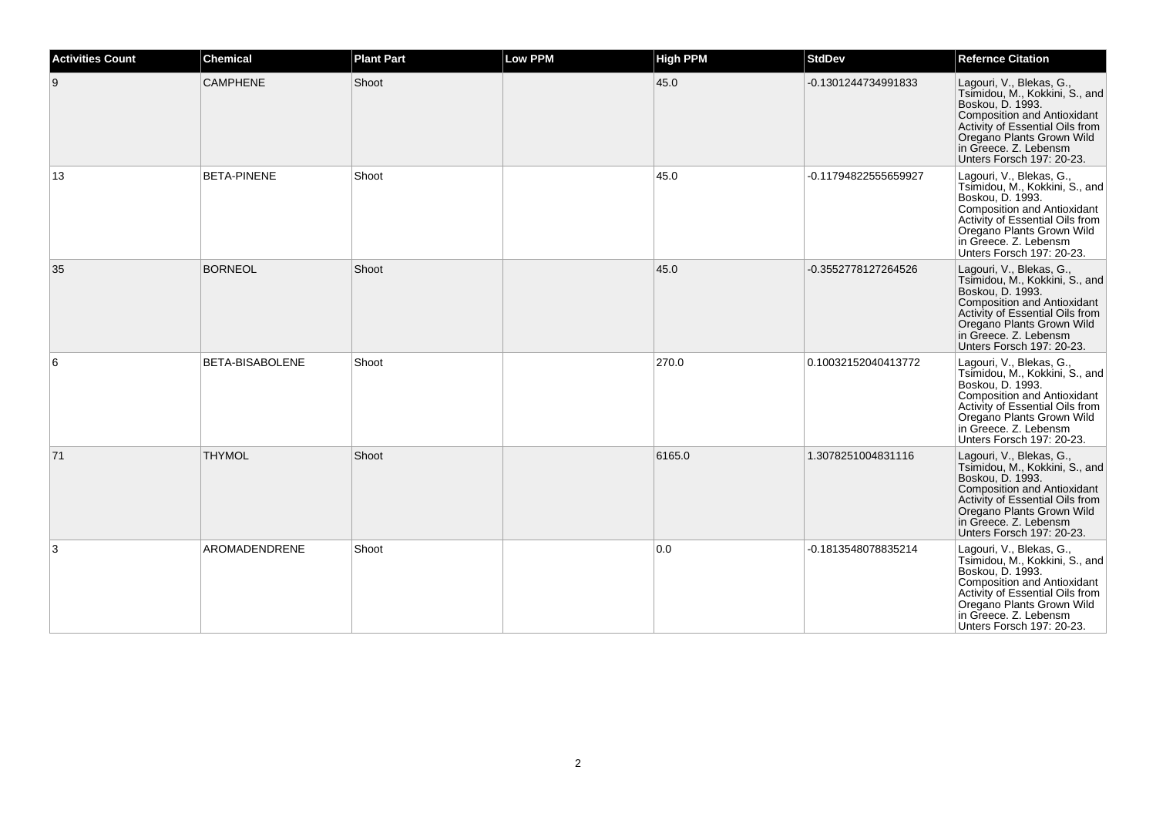| <b>Activities Count</b> | <b>Chemical</b>    | <b>Plant Part</b> | <b>Low PPM</b> | <b>High PPM</b> | <b>StdDev</b>        | <b>Refernce Citation</b>                                                                                                                                                                                                                   |
|-------------------------|--------------------|-------------------|----------------|-----------------|----------------------|--------------------------------------------------------------------------------------------------------------------------------------------------------------------------------------------------------------------------------------------|
| 9                       | <b>CAMPHENE</b>    | Shoot             |                | 45.0            | -0.1301244734991833  | Lagouri, V., Blekas, G.,<br>Tsimidou, M., Kokkini, S., and<br>Boskou, D. 1993.<br>Composition and Antioxidant<br>Activity of Essential Oils from<br>Oregano Plants Grown Wild<br>in Greece. Z. Lebensm<br>Unters Forsch 197: 20-23.        |
| 13                      | <b>BETA-PINENE</b> | Shoot             |                | 45.0            | -0.11794822555659927 | Lagouri, V., Blekas, G.,<br>Tsimidou, M., Kokkini, S., and<br>Boskou, D. 1993.<br><b>Composition and Antioxidant</b><br>Activity of Essential Oils from<br>Oregano Plants Grown Wild<br>in Greece. Z. Lebensm<br>Unters Forsch 197: 20-23. |
| 35                      | <b>BORNEOL</b>     | Shoot             |                | 45.0            | -0.3552778127264526  | Lagouri, V., Blekas, G.,<br>Tsimidou, M., Kokkini, S., and<br>Boskou, D. 1993.<br><b>Composition and Antioxidant</b><br>Activity of Essential Oils from<br>Oregano Plants Grown Wild<br>in Greece. Z. Lebensm<br>Unters Forsch 197: 20-23. |
| 6                       | BETA-BISABOLENE    | Shoot             |                | 270.0           | 0.10032152040413772  | Lagouri, V., Blekas, G.,<br>Tsimidou, M., Kokkini, S., and<br>Boskou, D. 1993.<br><b>Composition and Antioxidant</b><br>Activity of Essential Oils from<br>Oregano Plants Grown Wild<br>in Greece. Z. Lebensm<br>Unters Forsch 197: 20-23. |
| 71                      | <b>THYMOL</b>      | Shoot             |                | 6165.0          | 1.3078251004831116   | Lagouri, V., Blekas, G.,<br>Tsimidou, M., Kokkini, S., and<br>Boskou, D. 1993.<br>Composition and Antioxidant<br>Activity of Essential Oils from<br>Oregano Plants Grown Wild<br>in Greece. Z. Lebensm<br>Unters Forsch 197: 20-23.        |
| 3                       | AROMADENDRENE      | Shoot             |                | 0.0             | -0.1813548078835214  | Lagouri, V., Blekas, G.,<br>Tsimidou, M., Kokkini, S., and<br>Boskou, D. 1993.<br>Composition and Antioxidant<br>Activity of Essential Oils from<br>Oregano Plants Grown Wild<br>in Greece. Z. Lebensm<br>Unters Forsch 197: 20-23.        |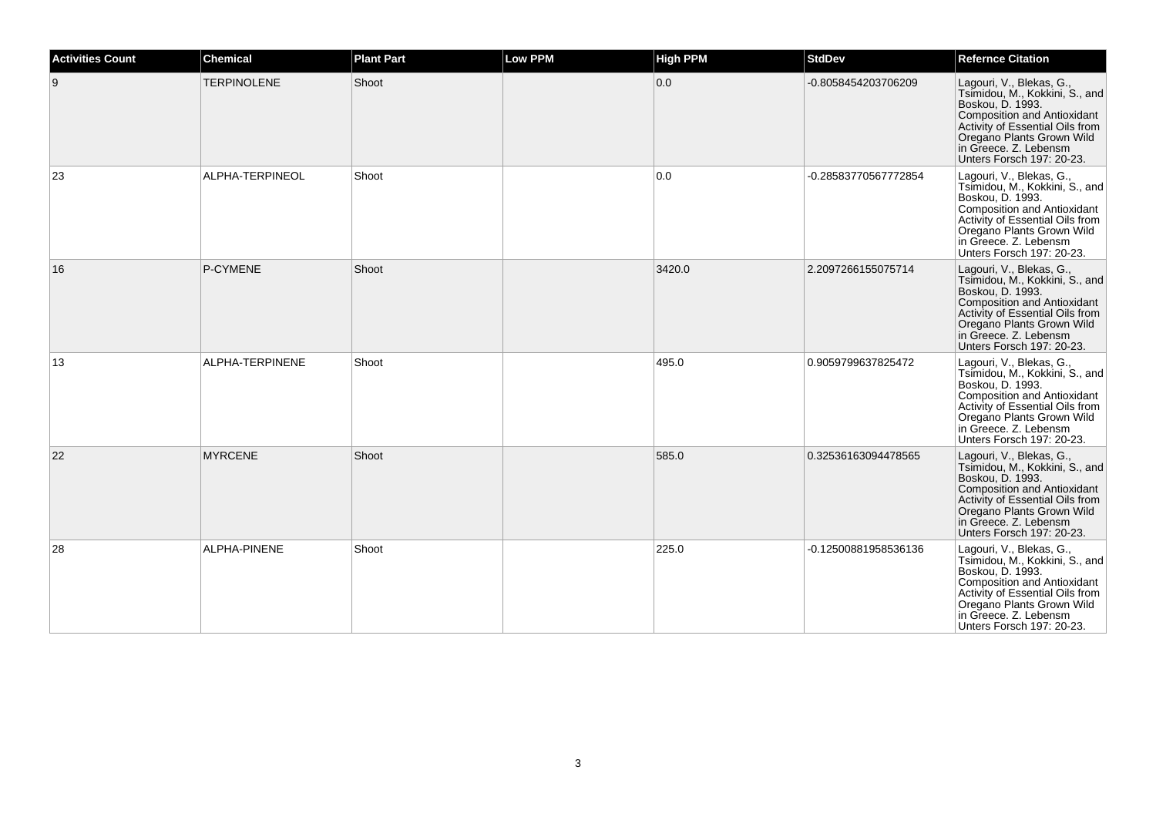| <b>Activities Count</b> | <b>Chemical</b>    | <b>Plant Part</b> | <b>Low PPM</b> | <b>High PPM</b> | <b>StdDev</b>        | <b>Refernce Citation</b>                                                                                                                                                                                                                   |
|-------------------------|--------------------|-------------------|----------------|-----------------|----------------------|--------------------------------------------------------------------------------------------------------------------------------------------------------------------------------------------------------------------------------------------|
| 9                       | <b>TERPINOLENE</b> | Shoot             |                | 0.0             | -0.8058454203706209  | Lagouri, V., Blekas, G.,<br>Tsimidou, M., Kokkini, S., and<br>Boskou, D. 1993.<br>Composition and Antioxidant<br>Activity of Essential Oils from<br>Oregano Plants Grown Wild<br>in Greece. Z. Lebensm<br>Unters Forsch 197: 20-23.        |
| 23                      | ALPHA-TERPINEOL    | Shoot             |                | 0.0             | -0.28583770567772854 | Lagouri, V., Blekas, G.,<br>Tsimidou, M., Kokkini, S., and<br>Boskou, D. 1993.<br><b>Composition and Antioxidant</b><br>Activity of Essential Oils from<br>Oregano Plants Grown Wild<br>in Greece. Z. Lebensm<br>Unters Forsch 197: 20-23. |
| 16                      | P-CYMENE           | Shoot             |                | 3420.0          | 2.2097266155075714   | Lagouri, V., Blekas, G.,<br>Tsimidou, M., Kokkini, S., and<br>Boskou, D. 1993.<br><b>Composition and Antioxidant</b><br>Activity of Essential Oils from<br>Oregano Plants Grown Wild<br>in Greece. Z. Lebensm<br>Unters Forsch 197: 20-23. |
| 13                      | ALPHA-TERPINENE    | Shoot             |                | 495.0           | 0.9059799637825472   | Lagouri, V., Blekas, G.,<br>Tsimidou, M., Kokkini, S., and<br>Boskou, D. 1993.<br><b>Composition and Antioxidant</b><br>Activity of Essential Oils from<br>Oregano Plants Grown Wild<br>in Greece. Z. Lebensm<br>Unters Forsch 197: 20-23. |
| 22                      | <b>MYRCENE</b>     | Shoot             |                | 585.0           | 0.32536163094478565  | Lagouri, V., Blekas, G.,<br>Tsimidou, M., Kokkini, S., and<br>Boskou, D. 1993.<br>Composition and Antioxidant<br>Activity of Essential Oils from<br>Oregano Plants Grown Wild<br>in Greece. Z. Lebensm<br>Unters Forsch 197: 20-23.        |
| 28                      | ALPHA-PINENE       | Shoot             |                | 225.0           | -0.12500881958536136 | Lagouri, V., Blekas, G.,<br>Tsimidou, M., Kokkini, S., and<br>Boskou, D. 1993.<br>Composition and Antioxidant<br>Activity of Essential Oils from<br>Oregano Plants Grown Wild<br>in Greece. Z. Lebensm<br>Unters Forsch 197: 20-23.        |